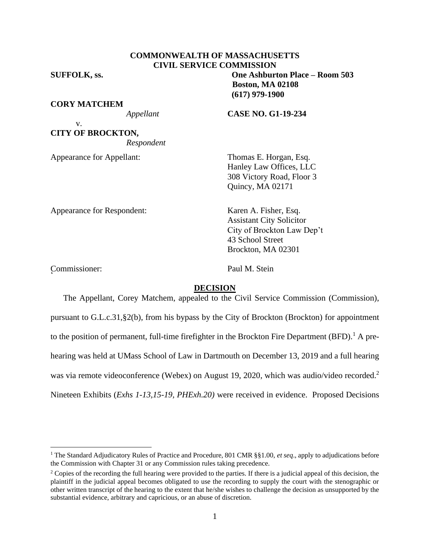# **COMMONWEALTH OF MASSACHUSETTS CIVIL SERVICE COMMISSION**

v.

**CORY MATCHEM**

**CITY OF BROCKTON,**

*Respondent*

Appearance for Appellant: Thomas E. Horgan, Esq.

**SUFFOLK, ss. One Ashburton Place – Room 503 Boston, MA 02108 (617) 979-1900**

*Appellant* **CASE NO. G1-19-234**

Hanley Law Offices, LLC 308 Victory Road, Floor 3 Quincy, MA 02171

Appearance for Respondent: Karen A. Fisher, Esq.

Assistant City Solicitor City of Brockton Law Dep't 43 School Street Brockton, MA 02301

Commissioner: Paul M. Stein '

### **DECISION**

The Appellant, Corey Matchem, appealed to the Civil Service Commission (Commission), pursuant to G.L.c.31,§2(b), from his bypass by the City of Brockton (Brockton) for appointment to the position of permanent, full-time firefighter in the Brockton Fire Department (BFD).<sup>1</sup> A prehearing was held at UMass School of Law in Dartmouth on December 13, 2019 and a full hearing was via remote videoconference (Webex) on August 19, 2020, which was audio/video recorded.<sup>2</sup> Nineteen Exhibits (*Exhs 1-13,15-19, PHExh.20)* were received in evidence. Proposed Decisions

<sup>1</sup> The Standard Adjudicatory Rules of Practice and Procedure, 801 CMR §§1.00, *et seq*., apply to adjudications before the Commission with Chapter 31 or any Commission rules taking precedence.

<sup>&</sup>lt;sup>2</sup> Copies of the recording the full hearing were provided to the parties. If there is a judicial appeal of this decision, the plaintiff in the judicial appeal becomes obligated to use the recording to supply the court with the stenographic or other written transcript of the hearing to the extent that he/she wishes to challenge the decision as unsupported by the substantial evidence, arbitrary and capricious, or an abuse of discretion.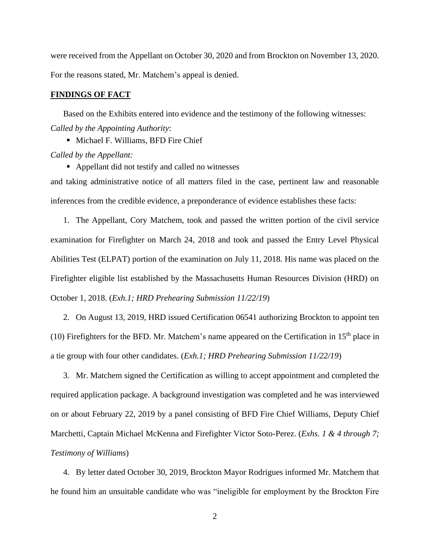were received from the Appellant on October 30, 2020 and from Brockton on November 13, 2020. For the reasons stated, Mr. Matchem's appeal is denied.

### **FINDINGS OF FACT**

Based on the Exhibits entered into evidence and the testimony of the following witnesses: *Called by the Appointing Authority*:

■ Michael F. Williams, BFD Fire Chief *Called by the Appellant:*

■ Appellant did not testify and called no witnesses

and taking administrative notice of all matters filed in the case, pertinent law and reasonable inferences from the credible evidence, a preponderance of evidence establishes these facts:

1. The Appellant, Cory Matchem, took and passed the written portion of the civil service examination for Firefighter on March 24, 2018 and took and passed the Entry Level Physical Abilities Test (ELPAT) portion of the examination on July 11, 2018. His name was placed on the Firefighter eligible list established by the Massachusetts Human Resources Division (HRD) on October 1, 2018. (*Exh.1; HRD Prehearing Submission 11/22/19*)

2. On August 13, 2019, HRD issued Certification 06541 authorizing Brockton to appoint ten (10) Firefighters for the BFD. Mr. Matchem's name appeared on the Certification in  $15<sup>th</sup>$  place in a tie group with four other candidates. (*Exh.1; HRD Prehearing Submission 11/22/19*)

3. Mr. Matchem signed the Certification as willing to accept appointment and completed the required application package. A background investigation was completed and he was interviewed on or about February 22, 2019 by a panel consisting of BFD Fire Chief Williams, Deputy Chief Marchetti, Captain Michael McKenna and Firefighter Victor Soto-Perez. (*Exhs. 1 & 4 through 7; Testimony of Williams*)

4. By letter dated October 30, 2019, Brockton Mayor Rodrigues informed Mr. Matchem that he found him an unsuitable candidate who was "ineligible for employment by the Brockton Fire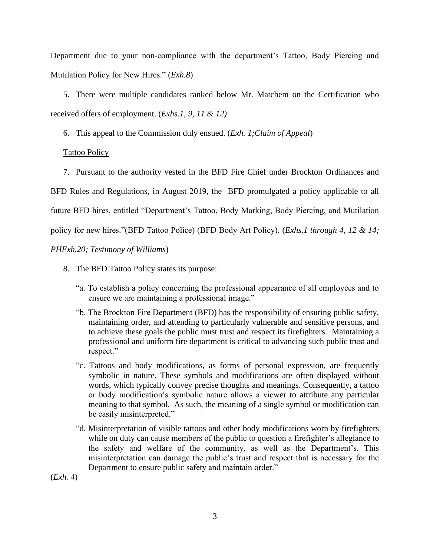Department due to your non-compliance with the department's Tattoo, Body Piercing and Mutilation Policy for New Hires." (*Exh.8*)

5. There were multiple candidates ranked below Mr. Matchem on the Certification who received offers of employment. (*Exhs.1, 9, 11 & 12)*

6. This appeal to the Commission duly ensued. (*Exh. 1;Claim of Appeal*)

## Tattoo Policy

7. Pursuant to the authority vested in the BFD Fire Chief under Brockton Ordinances and

BFD Rules and Regulations, in August 2019, the BFD promulgated a policy applicable to all

future BFD hires, entitled "Department's Tattoo, Body Marking, Body Piercing, and Mutilation

policy for new hires."(BFD Tattoo Police) (BFD Body Art Policy). (*Exhs.1 through 4, 12 & 14;* 

## *PHExh.20; Testimony of Williams*)

- 8. The BFD Tattoo Policy states its purpose:
	- "a. To establish a policy concerning the professional appearance of all employees and to ensure we are maintaining a professional image."
	- "b. The Brockton Fire Department (BFD) has the responsibility of ensuring public safety, maintaining order, and attending to particularly vulnerable and sensitive persons, and to achieve these goals the public must trust and respect its firefighters. Maintaining a professional and uniform fire department is critical to advancing such public trust and respect."
	- "c. Tattoos and body modifications, as forms of personal expression, are frequently symbolic in nature. These symbols and modifications are often displayed without words, which typically convey precise thoughts and meanings. Consequently, a tattoo or body modification's symbolic nature allows a viewer to attribute any particular meaning to that symbol. As such, the meaning of a single symbol or modification can be easily misinterpreted."
	- "d. Misinterpretation of visible tattoos and other body modifications worn by firefighters while on duty can cause members of the public to question a firefighter's allegiance to the safety and welfare of the community, as well as the Department's. This misinterpretation can damage the public's trust and respect that is necessary for the Department to ensure public safety and maintain order."

(*Exh. 4*)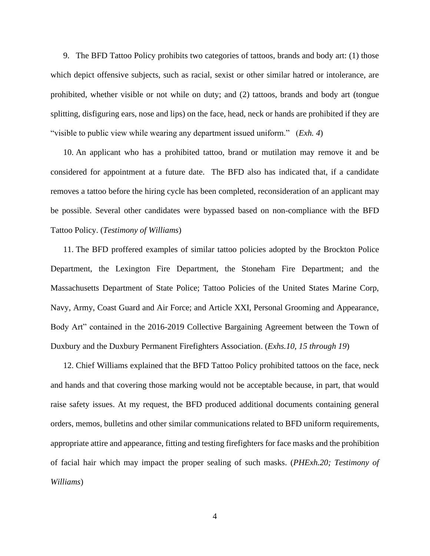9. The BFD Tattoo Policy prohibits two categories of tattoos, brands and body art: (1) those which depict offensive subjects, such as racial, sexist or other similar hatred or intolerance, are prohibited, whether visible or not while on duty; and (2) tattoos, brands and body art (tongue splitting, disfiguring ears, nose and lips) on the face, head, neck or hands are prohibited if they are "visible to public view while wearing any department issued uniform." (*Exh. 4*)

10. An applicant who has a prohibited tattoo, brand or mutilation may remove it and be considered for appointment at a future date. The BFD also has indicated that, if a candidate removes a tattoo before the hiring cycle has been completed, reconsideration of an applicant may be possible. Several other candidates were bypassed based on non-compliance with the BFD Tattoo Policy. (*Testimony of Williams*)

11. The BFD proffered examples of similar tattoo policies adopted by the Brockton Police Department, the Lexington Fire Department, the Stoneham Fire Department; and the Massachusetts Department of State Police; Tattoo Policies of the United States Marine Corp, Navy, Army, Coast Guard and Air Force; and Article XXI, Personal Grooming and Appearance, Body Art" contained in the 2016-2019 Collective Bargaining Agreement between the Town of Duxbury and the Duxbury Permanent Firefighters Association. (*Exhs.10, 15 through 19*)

12. Chief Williams explained that the BFD Tattoo Policy prohibited tattoos on the face, neck and hands and that covering those marking would not be acceptable because, in part, that would raise safety issues. At my request, the BFD produced additional documents containing general orders, memos, bulletins and other similar communications related to BFD uniform requirements, appropriate attire and appearance, fitting and testing firefighters for face masks and the prohibition of facial hair which may impact the proper sealing of such masks. (*PHExh.20; Testimony of Williams*)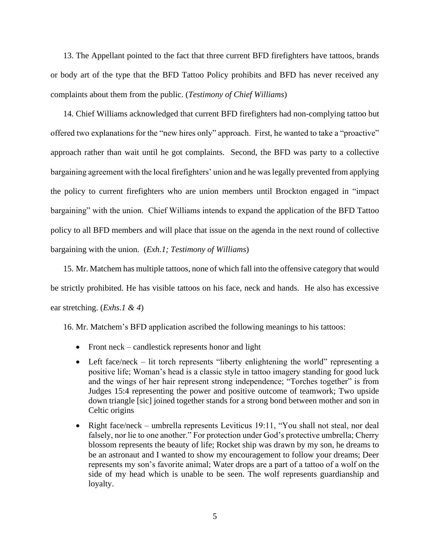13. The Appellant pointed to the fact that three current BFD firefighters have tattoos, brands or body art of the type that the BFD Tattoo Policy prohibits and BFD has never received any complaints about them from the public. (*Testimony of Chief Williams*)

14. Chief Williams acknowledged that current BFD firefighters had non-complying tattoo but offered two explanations for the "new hires only" approach. First, he wanted to take a "proactive" approach rather than wait until he got complaints. Second, the BFD was party to a collective bargaining agreement with the local firefighters' union and he was legally prevented from applying the policy to current firefighters who are union members until Brockton engaged in "impact bargaining" with the union. Chief Williams intends to expand the application of the BFD Tattoo policy to all BFD members and will place that issue on the agenda in the next round of collective bargaining with the union. (*Exh.1; Testimony of Williams*)

15. Mr. Matchem has multiple tattoos, none of which fall into the offensive category that would be strictly prohibited. He has visible tattoos on his face, neck and hands. He also has excessive ear stretching. (*Exhs.1 & 4*)

16. Mr. Matchem's BFD application ascribed the following meanings to his tattoos:

- Front neck candlestick represents honor and light
- Left face/neck lit torch represents "liberty enlightening the world" representing a positive life; Woman's head is a classic style in tattoo imagery standing for good luck and the wings of her hair represent strong independence; "Torches together" is from Judges 15:4 representing the power and positive outcome of teamwork; Two upside down triangle [sic] joined together stands for a strong bond between mother and son in Celtic origins
- Right face/neck umbrella represents Leviticus 19:11, "You shall not steal, nor deal falsely, nor lie to one another." For protection under God's protective umbrella; Cherry blossom represents the beauty of life; Rocket ship was drawn by my son, he dreams to be an astronaut and I wanted to show my encouragement to follow your dreams; Deer represents my son's favorite animal; Water drops are a part of a tattoo of a wolf on the side of my head which is unable to be seen. The wolf represents guardianship and loyalty.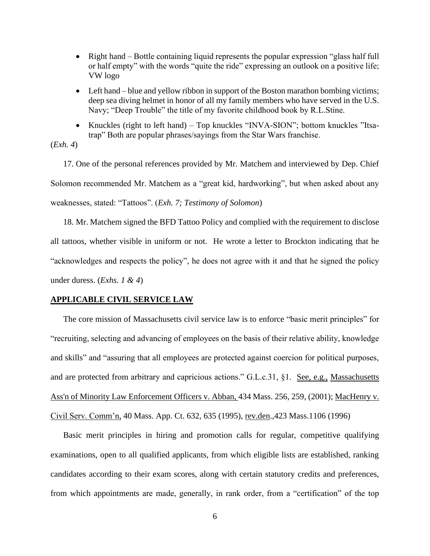- Right hand Bottle containing liquid represents the popular expression "glass half full or half empty" with the words "quite the ride" expressing an outlook on a positive life; VW logo
- Left hand blue and yellow ribbon in support of the Boston marathon bombing victims; deep sea diving helmet in honor of all my family members who have served in the U.S. Navy; "Deep Trouble" the title of my favorite childhood book by R.L.Stine.
- Knuckles (right to left hand) Top knuckles "INVA-SION"; bottom knuckles "Itsatrap" Both are popular phrases/sayings from the Star Wars franchise.

## (*Exh. 4*)

17. One of the personal references provided by Mr. Matchem and interviewed by Dep. Chief Solomon recommended Mr. Matchem as a "great kid, hardworking", but when asked about any weaknesses, stated: "Tattoos". (*Exh. 7; Testimony of Solomon*)

18. Mr. Matchem signed the BFD Tattoo Policy and complied with the requirement to disclose all tattoos, whether visible in uniform or not. He wrote a letter to Brockton indicating that he "acknowledges and respects the policy", he does not agree with it and that he signed the policy under duress. (*Exhs. 1 & 4*)

### **APPLICABLE CIVIL SERVICE LAW**

The core mission of Massachusetts civil service law is to enforce "basic merit principles" for "recruiting, selecting and advancing of employees on the basis of their relative ability, knowledge and skills" and "assuring that all employees are protected against coercion for political purposes, and are protected from arbitrary and capricious actions." G.L.c.31, §1. See, e.g., Massachusetts [Ass'n of Minority Law Enforcement Officers v. Abban,](http://web2.westlaw.com/find/default.wl?mt=Massachusetts&db=578&rs=WLW15.04&tc=-1&rp=%2ffind%2fdefault.wl&findtype=Y&ordoc=2029136022&serialnum=2001441097&vr=2.0&fn=_top&sv=Split&tf=-1&pbc=70F732C1&utid=1) 434 Mass. 256, 259, (2001); MacHenry v. Civil Serv. Comm'n, 40 Mass. App. Ct. 632, 635 (1995), rev.den.,423 Mass.1106 (1996)

Basic merit principles in hiring and promotion calls for regular, competitive qualifying examinations, open to all qualified applicants, from which eligible lists are established, ranking candidates according to their exam scores, along with certain statutory credits and preferences, from which appointments are made, generally, in rank order, from a "certification" of the top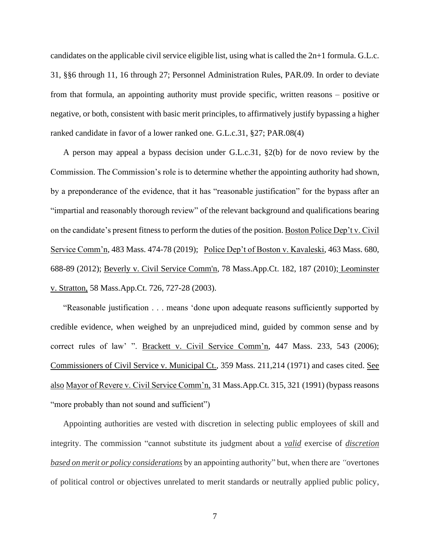candidates on the applicable civil service eligible list, using what is called the 2n+1 formula. G.L.c. 31, §§6 through 11, 16 through 27; Personnel Administration Rules, PAR.09. In order to deviate from that formula, an appointing authority must provide specific, written reasons – positive or negative, or both, consistent with basic merit principles, to affirmatively justify bypassing a higher ranked candidate in favor of a lower ranked one. G.L.c.31, §27; PAR.08(4)

A person may appeal a bypass decision under G.L.c.31, §2(b) for de novo review by the Commission. The Commission's role is to determine whether the appointing authority had shown, by a preponderance of the evidence, that it has "reasonable justification" for the bypass after an "impartial and reasonably thorough review" of the relevant background and qualifications bearing on the candidate's present fitness to perform the duties of the position. Boston Police Dep't v. Civil Service Comm'n, 483 Mass. 474-78 (2019); Police Dep't of Boston v. Kavaleski, 463 Mass. 680, 688-89 (2012); [Beverly v. Civil Service Comm'n, 78 Mass.App.Ct. 182, 187 \(2010\);](http://web2.westlaw.com/find/default.wl?mt=Massachusetts&db=578&rs=WLW15.04&tc=-1&rp=%2ffind%2fdefault.wl&findtype=Y&ordoc=2029136022&serialnum=2023501172&vr=2.0&fn=_top&sv=Split&tf=-1&pbc=70F732C1&utid=1) Leominster v. Stratton, 58 Mass.App.Ct. 726, 727-28 (2003).

"Reasonable justification . . . means 'done upon adequate reasons sufficiently supported by credible evidence, when weighed by an unprejudiced mind, guided by common sense and by correct rules of law' ". Brackett v. Civil Service Comm'n, 447 Mass. 233, 543 (2006); Commissioners of Civil Service v. Municipal Ct., 359 Mass. 211,214 (1971) and cases cited. See also Mayor of Revere v. Civil Service Comm'n, 31 Mass.App.Ct. 315, 321 (1991) (bypass reasons "more probably than not sound and sufficient")

Appointing authorities are vested with discretion in selecting public employees of skill and integrity. The commission "cannot substitute its judgment about a *valid* exercise of *discretion based on merit or policy considerations* by an appointing authority" but, when there are *"*overtones of political control or objectives unrelated to merit standards or neutrally applied public policy,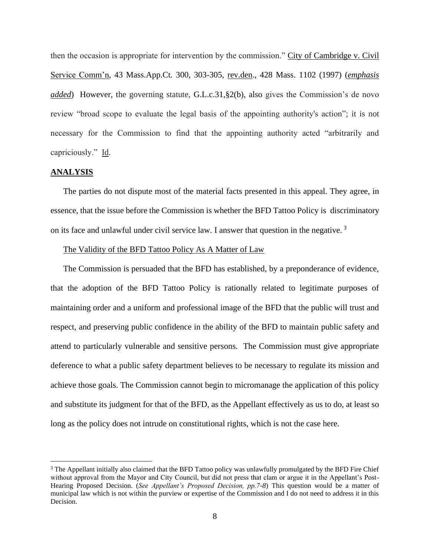then the occasion is appropriate for intervention by the commission." City of Cambridge v. Civil Service Comm'n, 43 Mass.App.Ct. 300, 303-305, rev.den., 428 Mass. 1102 (1997) (*emphasis added*) However, the governing statute, [G.L.c.31,§2\(b\),](https://1.next.westlaw.com/Link/Document/FullText?findType=L&pubNum=1000042&cite=MAST31S2&originatingDoc=Ib21af0ded3bd11d99439b076ef9ec4de&refType=LQ&originationContext=document&transitionType=DocumentItem&contextData=(sc.History*oc.UserEnteredCitation)) also gives the Commission's de novo review "broad scope to evaluate the legal basis of the appointing authority's action"; it is not necessary for the Commission to find that the appointing authority acted "arbitrarily and capriciously." Id.

#### **ANALYSIS**

The parties do not dispute most of the material facts presented in this appeal. They agree, in essence, that the issue before the Commission is whether the BFD Tattoo Policy is discriminatory on its face and unlawful under civil service law. I answer that question in the negative. <sup>3</sup>

### The Validity of the BFD Tattoo Policy As A Matter of Law

The Commission is persuaded that the BFD has established, by a preponderance of evidence, that the adoption of the BFD Tattoo Policy is rationally related to legitimate purposes of maintaining order and a uniform and professional image of the BFD that the public will trust and respect, and preserving public confidence in the ability of the BFD to maintain public safety and attend to particularly vulnerable and sensitive persons. The Commission must give appropriate deference to what a public safety department believes to be necessary to regulate its mission and achieve those goals. The Commission cannot begin to micromanage the application of this policy and substitute its judgment for that of the BFD, as the Appellant effectively as us to do, at least so long as the policy does not intrude on constitutional rights, which is not the case here.

<sup>&</sup>lt;sup>3</sup> The Appellant initially also claimed that the BFD Tattoo policy was unlawfully promulgated by the BFD Fire Chief without approval from the Mayor and City Council, but did not press that clam or argue it in the Appellant's Post-Hearing Proposed Decision. (*See Appellant's Proposed Decision, pp.7-8*) This question would be a matter of municipal law which is not within the purview or expertise of the Commission and I do not need to address it in this Decision.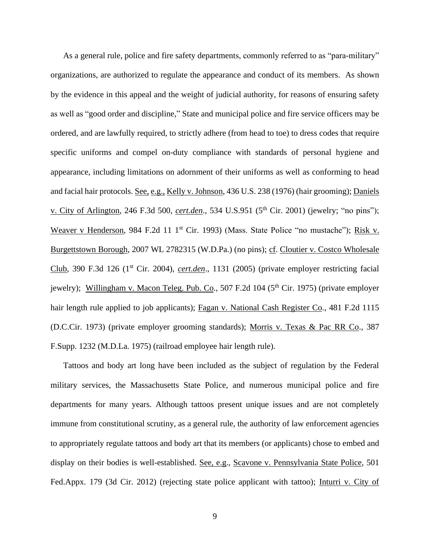As a general rule, police and fire safety departments, commonly referred to as "para-military" organizations, are authorized to regulate the appearance and conduct of its members. As shown by the evidence in this appeal and the weight of judicial authority, for reasons of ensuring safety as well as "good order and discipline," State and municipal police and fire service officers may be ordered, and are lawfully required, to strictly adhere (from head to toe) to dress codes that require specific uniforms and compel on-duty compliance with standards of personal hygiene and appearance, including limitations on adornment of their uniforms as well as conforming to head and facial hair protocols. See, e.g., Kelly v. Johnson, 436 U.S. 238 (1976) (hair grooming); Daniels v. City of Arlington, 246 F.3d 500, *cert.den*., 534 U.S.951 (5th Cir. 2001) (jewelry; "no pins"); Weaver v Henderson, 984 F.2d 11 1<sup>st</sup> Cir. 1993) (Mass. State Police "no mustache"); Risk v. Burgettstown Borough, 2007 WL 2782315 (W.D.Pa.) (no pins); cf. Cloutier v. Costco Wholesale Club, 390 F.3d 126 (1st Cir. 2004), *cert.den*., 1131 (2005) (private employer restricting facial jewelry); Willingham v. Macon Teleg. Pub. Co., 507 F.2d  $104$  ( $5<sup>th</sup>$  Cir. 1975) (private employer hair length rule applied to job applicants); Fagan v. National Cash Register Co., 481 F.2d 1115 (D.C.Cir. 1973) (private employer grooming standards); Morris v. Texas & Pac RR Co., 387 F.Supp. 1232 (M.D.La. 1975) (railroad employee hair length rule).

Tattoos and body art long have been included as the subject of regulation by the Federal military services, the Massachusetts State Police, and numerous municipal police and fire departments for many years. Although tattoos present unique issues and are not completely immune from constitutional scrutiny, as a general rule, the authority of law enforcement agencies to appropriately regulate tattoos and body art that its members (or applicants) chose to embed and display on their bodies is well-established. See, e.g., Scavone v. Pennsylvania State Police, 501 Fed.Appx. 179 (3d Cir. 2012) (rejecting state police applicant with tattoo); Inturri v. City of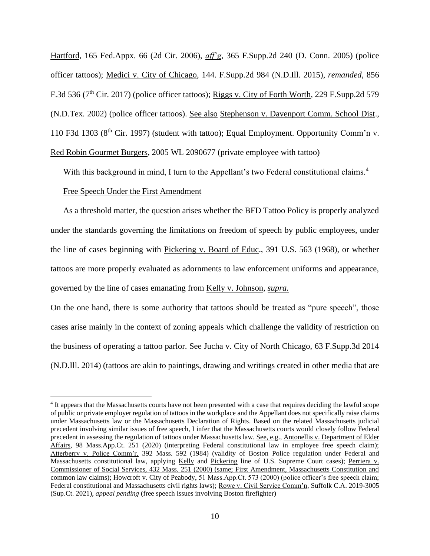Hartford, 165 Fed.Appx. 66 (2d Cir. 2006), *aff'g*, 365 F.Supp.2d 240 (D. Conn. 2005) (police officer tattoos); Medici v. City of Chicago, 144. F.Supp.2d 984 (N.D.Ill. 2015), *remanded,* 856 F.3d 536 (7<sup>th</sup> Cir. 2017) (police officer tattoos); Riggs v. City of Forth Worth, 229 F.Supp.2d 579 (N.D.Tex. 2002) (police officer tattoos). See also Stephenson v. Davenport Comm. School Dist., 110 F3d 1303 ( $8<sup>th</sup>$  Cir. 1997) (student with tattoo); Equal Employment. Opportunity Comm'n v. Red Robin Gourmet Burgers, 2005 WL 2090677 (private employee with tattoo)

With this background in mind, I turn to the Appellant's two Federal constitutional claims.<sup>4</sup>

### Free Speech Under the First Amendment

As a threshold matter, the question arises whether the BFD Tattoo Policy is properly analyzed under the standards governing the limitations on freedom of speech by public employees, under the line of cases beginning with Pickering v. Board of Educ., 391 U.S. 563 (1968), or whether tattoos are more properly evaluated as adornments to law enforcement uniforms and appearance, governed by the line of cases emanating from Kelly v. Johnson, *supra.*

On the one hand, there is some authority that tattoos should be treated as "pure speech", those cases arise mainly in the context of zoning appeals which challenge the validity of restriction on the business of operating a tattoo parlor. See Jucha v. City of North Chicago, 63 F.Supp.3d 2014 (N.D.Ill. 2014) (tattoos are akin to paintings, drawing and writings created in other media that are

<sup>4</sup> It appears that the Massachusetts courts have not been presented with a case that requires deciding the lawful scope of public or private employer regulation of tattoos in the workplace and the Appellant does not specifically raise claims under Massachusetts law or the Massachusetts Declaration of Rights. Based on the related Massachusetts judicial precedent involving similar issues of free speech, I infer that the Massachusetts courts would closely follow Federal precedent in assessing the regulation of tattoos under Massachusetts law. See, e.g., Antonellis v. Department of Elder Affairs, 98 Mass.App.Ct. 251 (2020) (interpreting Federal constitutional law in employee free speech claim); Atterberry v. Police Comm'r, 392 Mass. 592 (1984) (validity of Boston Police regulation under Federal and Massachusetts constitutional law, applying Kelly and Pickering line of U.S. Supreme Court cases); Perriera v. Commissioner of Social Services, 432 Mass. 251 (2000) (same; First Amendment, Massachusetts Constitution and common law claims); Howcroft v. City of Peabody, 51 Mass.App.Ct. 573 (2000) (police officer's free speech claim; Federal constitutional and Massachusetts civil rights laws); Rowe v. Civil Service Comm'n, Suffolk C.A. 2019-3005 (Sup.Ct. 2021), *appeal pending* (free speech issues involving Boston firefighter)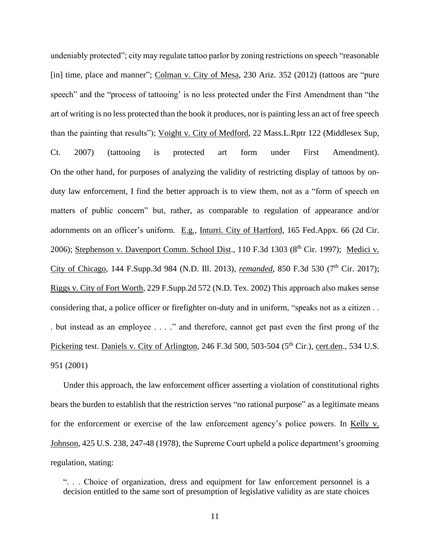undeniably protected"; city may regulate tattoo parlor by zoning restrictions on speech "reasonable [in] time, place and manner"; Colman v. City of Mesa, 230 Ariz. 352 (2012) (tattoos are "pure speech" and the "process of tattooing' is no less protected under the First Amendment than "the art of writing is no less protected than the book it produces, nor is painting less an act of free speech than the painting that results"); Voight v. City of Medford, 22 Mass.L.Rptr 122 (Middlesex Sup, Ct. 2007) (tattooing is protected art form under First Amendment). On the other hand, for purposes of analyzing the validity of restricting display of tattoos by onduty law enforcement, I find the better approach is to view them, not as a "form of speech on matters of public concern" but, rather, as comparable to regulation of appearance and/or adornments on an officer's uniform. E.g., Inturri. City of Hartford, 165 Fed.Appx. 66 (2d Cir. 2006); Stephenson v. Davenport Comm. School Dist., 110 F.3d 1303 (8<sup>th</sup> Cir. 1997); Medici v. City of Chicago, 144 F.Supp.3d 984 (N.D. Ill. 2013), *remanded*, 850 F.3d 530 (7<sup>th</sup> Cir. 2017); Riggs v. City of Fort Worth, 229 F.Supp.2d 572 (N.D. Tex. 2002) This approach also makes sense considering that, a police officer or firefighter on-duty and in uniform, "speaks not as a citizen . . . but instead as an employee . . . ." and therefore, cannot get past even the first prong of the Pickering test. Daniels v. City of Arlington, 246 F.3d 500, 503-504 (5<sup>th</sup> Cir.), cert.den., 534 U.S. 951 (2001)

Under this approach, the law enforcement officer asserting a violation of constitutional rights bears the burden to establish that the restriction serves "no rational purpose" as a legitimate means for the enforcement or exercise of the law enforcement agency's police powers. In Kelly v. Johnson, 425 U.S. 238, 247-48 (1978), the Supreme Court upheld a police department's grooming regulation, stating:

". . . Choice of organization, dress and equipment for law enforcement personnel is a decision entitled to the same sort of presumption of legislative validity as are state choices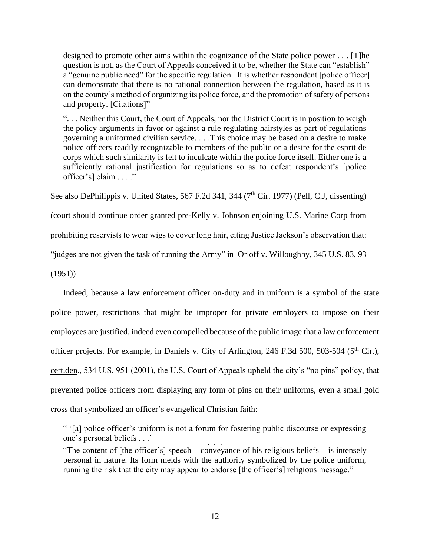designed to promote other aims within the cognizance of the State police power . . . [T]he question is not, as the Court of Appeals conceived it to be, whether the State can "establish" a "genuine public need" for the specific regulation. It is whether respondent [police officer] can demonstrate that there is no rational connection between the regulation, based as it is on the county's method of organizing its police force, and the promotion of safety of persons and property. [Citations]"

". . . Neither this Court, the Court of Appeals, nor the District Court is in position to weigh the policy arguments in favor or against a rule regulating hairstyles as part of regulations governing a uniformed civilian service. . . .This choice may be based on a desire to make police officers readily recognizable to members of the public or a desire for the esprit de corps which such similarity is felt to inculcate within the police force itself. Either one is a sufficiently rational justification for regulations so as to defeat respondent's [police officer's] claim . . . ."

See also DePhilippis v. United States, 567 F.2d 341, 344 (7<sup>th</sup> Cir. 1977) (Pell, C.J, dissenting)

(court should continue order granted pre-Kelly v. Johnson enjoining U.S. Marine Corp from

prohibiting reservists to wear wigs to cover long hair, citing Justice Jackson's observation that:

"judges are not given the task of running the Army" in Orloff v. Willoughby, 345 U.S. 83, 93

 $(1951)$ 

Indeed, because a law enforcement officer on-duty and in uniform is a symbol of the state police power, restrictions that might be improper for private employers to impose on their employees are justified, indeed even compelled because of the public image that a law enforcement officer projects. For example, in Daniels v. City of Arlington, 246 F.3d 500, 503-504 ( $5<sup>th</sup>$  Cir.), cert.den., 534 U.S. 951 (2001), the U.S. Court of Appeals upheld the city's "no pins" policy, that prevented police officers from displaying any form of pins on their uniforms, even a small gold cross that symbolized an officer's evangelical Christian faith:

" '[a] police officer's uniform is not a forum for fostering public discourse or expressing one's personal beliefs . . .' . . .

"The content of [the officer's] speech – conveyance of his religious beliefs – is intensely personal in nature. Its form melds with the authority symbolized by the police uniform, running the risk that the city may appear to endorse [the officer's] religious message."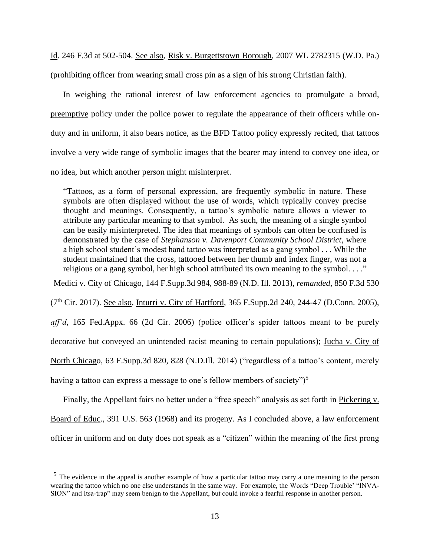Id. 246 F.3d at 502-504. See also, Risk v. Burgettstown Borough, 2007 WL 2782315 (W.D. Pa.) (prohibiting officer from wearing small cross pin as a sign of his strong Christian faith).

In weighing the rational interest of law enforcement agencies to promulgate a broad, preemptive policy under the police power to regulate the appearance of their officers while onduty and in uniform, it also bears notice, as the BFD Tattoo policy expressly recited, that tattoos involve a very wide range of symbolic images that the bearer may intend to convey one idea, or no idea, but which another person might misinterpret.

"Tattoos, as a form of personal expression, are frequently symbolic in nature. These symbols are often displayed without the use of words, which typically convey precise thought and meanings. Consequently, a tattoo's symbolic nature allows a viewer to attribute any particular meaning to that symbol. As such, the meaning of a single symbol can be easily misinterpreted. The idea that meanings of symbols can often be confused is demonstrated by the case of *Stephanson v. Davenport Community School District*, where a high school student's modest hand tattoo was interpreted as a gang symbol . . . While the student maintained that the cross, tattooed between her thumb and index finger, was not a religious or a gang symbol, her high school attributed its own meaning to the symbol. . . ."

Medici v. City of Chicago, 144 F.Supp.3d 984, 988-89 (N.D. Ill. 2013), *remanded*, 850 F.3d 530

(7th Cir. 2017). See also, Inturri v. City of Hartford, 365 F.Supp.2d 240, 244-47 (D.Conn. 2005),

*aff'd*, 165 Fed.Appx. 66 (2d Cir. 2006) (police officer's spider tattoos meant to be purely decorative but conveyed an unintended racist meaning to certain populations); Jucha v. City of North Chicago, 63 F.Supp.3d 820, 828 (N.D.Ill. 2014) ("regardless of a tattoo's content, merely having a tattoo can express a message to one's fellow members of society")<sup>5</sup>

Finally, the Appellant fairs no better under a "free speech" analysis as set forth in Pickering v. Board of Educ., 391 U.S. 563 (1968) and its progeny. As I concluded above, a law enforcement officer in uniform and on duty does not speak as a "citizen" within the meaning of the first prong

<sup>&</sup>lt;sup>5</sup> The evidence in the appeal is another example of how a particular tattoo may carry a one meaning to the person wearing the tattoo which no one else understands in the same way. For example, the Words "Deep Trouble' "INVA-SION" and Itsa-trap" may seem benign to the Appellant, but could invoke a fearful response in another person.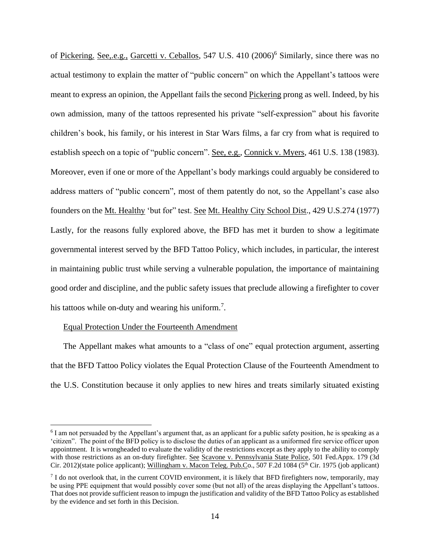of Pickering. See, e.g., Garcetti v. Ceballos, 547 U.S. 410 (2006)<sup>6</sup> Similarly, since there was no actual testimony to explain the matter of "public concern" on which the Appellant's tattoos were meant to express an opinion, the Appellant fails the second Pickering prong as well. Indeed, by his own admission, many of the tattoos represented his private "self-expression" about his favorite children's book, his family, or his interest in Star Wars films, a far cry from what is required to establish speech on a topic of "public concern". See, e.g., Connick v. Myers, 461 U.S. 138 (1983). Moreover, even if one or more of the Appellant's body markings could arguably be considered to address matters of "public concern", most of them patently do not, so the Appellant's case also founders on the Mt. Healthy 'but for" test. See Mt. Healthy City School Dist., 429 U.S.274 (1977) Lastly, for the reasons fully explored above, the BFD has met it burden to show a legitimate governmental interest served by the BFD Tattoo Policy, which includes, in particular, the interest in maintaining public trust while serving a vulnerable population, the importance of maintaining good order and discipline, and the public safety issues that preclude allowing a firefighter to cover his tattoos while on-duty and wearing his uniform.<sup>7</sup>.

### Equal Protection Under the Fourteenth Amendment

The Appellant makes what amounts to a "class of one" equal protection argument, asserting that the BFD Tattoo Policy violates the Equal Protection Clause of the Fourteenth Amendment to the U.S. Constitution because it only applies to new hires and treats similarly situated existing

<sup>&</sup>lt;sup>6</sup> I am not persuaded by the Appellant's argument that, as an applicant for a public safety position, he is speaking as a 'citizen". The point of the BFD policy is to disclose the duties of an applicant as a uniformed fire service officer upon appointment. It is wrongheaded to evaluate the validity of the restrictions except as they apply to the ability to comply with those restrictions as an on-duty firefighter. See Scavone v. Pennsylvania State Police, 501 Fed.Appx. 179 (3d Cir. 2012)(state police applicant); Willingham v. Macon Teleg. Pub.Co., 507 F.2d 1084 ( $5<sup>th</sup>$  Cir. 1975 (job applicant)

 $<sup>7</sup>$  I do not overlook that, in the current COVID environment, it is likely that BFD firefighters now, temporarily, may</sup> be using PPE equipment that would possibly cover some (but not all) of the areas displaying the Appellant's tattoos. That does not provide sufficient reason to impugn the justification and validity of the BFD Tattoo Policy as established by the evidence and set forth in this Decision.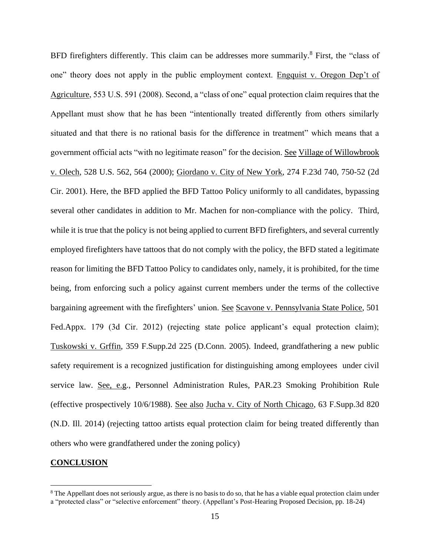BFD firefighters differently. This claim can be addresses more summarily.<sup>8</sup> First, the "class of one" theory does not apply in the public employment context. Engquist v. Oregon Dep't of Agriculture, 553 U.S. 591 (2008). Second, a "class of one" equal protection claim requires that the Appellant must show that he has been "intentionally treated differently from others similarly situated and that there is no rational basis for the difference in treatment" which means that a government official acts "with no legitimate reason" for the decision. See Village of Willowbrook v. Olech, 528 U.S. 562, 564 (2000); Giordano v. City of New York, 274 F.23d 740, 750-52 (2d Cir. 2001). Here, the BFD applied the BFD Tattoo Policy uniformly to all candidates, bypassing several other candidates in addition to Mr. Machen for non-compliance with the policy. Third, while it is true that the policy is not being applied to current BFD firefighters, and several currently employed firefighters have tattoos that do not comply with the policy, the BFD stated a legitimate reason for limiting the BFD Tattoo Policy to candidates only, namely, it is prohibited, for the time being, from enforcing such a policy against current members under the terms of the collective bargaining agreement with the firefighters' union. See Scavone v. Pennsylvania State Police, 501 Fed.Appx. 179 (3d Cir. 2012) (rejecting state police applicant's equal protection claim); Tuskowski v. Grffin, 359 F.Supp.2d 225 (D.Conn. 2005). Indeed, grandfathering a new public safety requirement is a recognized justification for distinguishing among employees under civil service law. See, e.g., Personnel Administration Rules, PAR.23 Smoking Prohibition Rule (effective prospectively 10/6/1988). See also Jucha v. City of North Chicago, 63 F.Supp.3d 820 (N.D. Ill. 2014) (rejecting tattoo artists equal protection claim for being treated differently than others who were grandfathered under the zoning policy)

## **CONCLUSION**

<sup>&</sup>lt;sup>8</sup> The Appellant does not seriously argue, as there is no basis to do so, that he has a viable equal protection claim under a "protected class" or "selective enforcement" theory. (Appellant's Post-Hearing Proposed Decision, pp. 18-24)